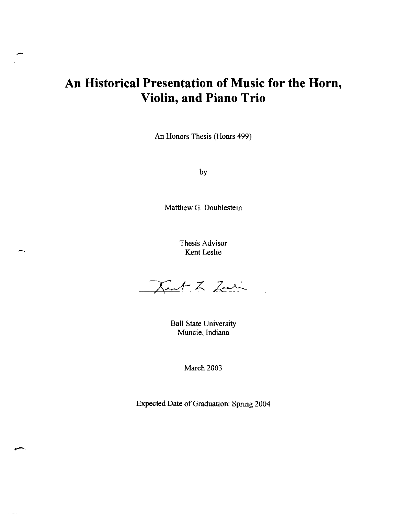# **An Historical Presentation of Music for the Horn, Violin, and Piano Trio**

-

 $\mathbf{I}$ 

-'.

-,

An Honors Thesis (Homs 499)

by

Matthew G. Doublestein

Thesis Advisor Kent Leslie

Kent L Zuli

Ball State University Muncie, Indiana

March 2003

Expected Date of Graduation: Spring 2004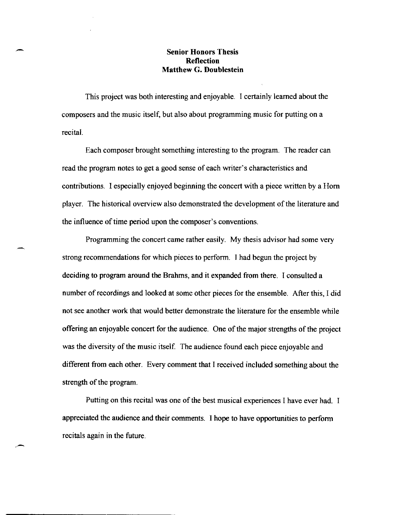## **Senior Honors Thesis Reflection Matthew G. Doublestein**

This project was both interesting and enjoyable. I certainly learned about the composers and the music itself, but also about programming music for putting on a recital.

Each composer brought something interesting to the program. The reader can read the program notes to get a good sense of each writer's characteristics and contributions. I especially enjoyed beginning the concert with a piece written by a Hom player. The historical overview also demonstrated the development of the literature and the influence of time period upon the composer's conventions.

Programming the concert came rather easily. My thesis advisor had some very strong recommendations for which pieces to perform. I had begun the project by deciding to program around the Brahms, and it expanded from there. I consulted a number of recordings and looked at some other pieces for the ensemble. After this, I did not see another work that would better demonstrate the literature for the ensemble while offering an enjoyable concert for the audience. One of the major strengths of the project was the diversity of the music itself. The audience found each piece enjoyable and different from each other. Every comment that I received included something about the strength of the program.

Putting on this recital was one of the best musical experiences I have ever had. I appreciated the audience and their comments. I hope to have opportunities to perform recitals again in the future.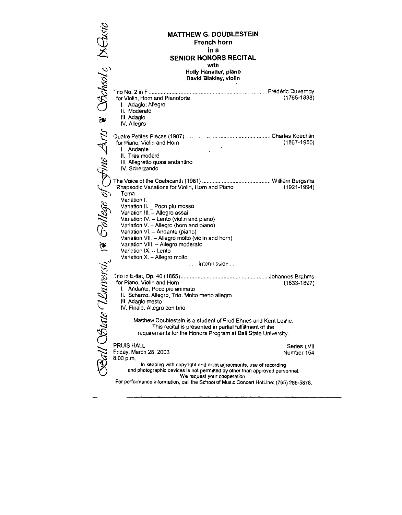| Bohool <sub>e</sub> Neusic                                                                                             | <b>MATTHEW G. DOUBLESTEIN</b>                                                  |                 |
|------------------------------------------------------------------------------------------------------------------------|--------------------------------------------------------------------------------|-----------------|
|                                                                                                                        | French horn                                                                    |                 |
|                                                                                                                        | in a                                                                           |                 |
|                                                                                                                        | SENIOR HONORS RECITAL<br>with                                                  |                 |
|                                                                                                                        | Holly Hanauer, plano                                                           |                 |
|                                                                                                                        | David Blakley, violin                                                          |                 |
|                                                                                                                        |                                                                                |                 |
|                                                                                                                        | for Violin, Horn and Pianoforte                                                | $(1765 - 1838)$ |
|                                                                                                                        | 1. Adagio: Allegro<br>II. Moderato                                             |                 |
| $\frac{1}{2}$                                                                                                          | III. Adagio                                                                    |                 |
|                                                                                                                        | IV. Allegro                                                                    |                 |
|                                                                                                                        |                                                                                |                 |
|                                                                                                                        |                                                                                |                 |
|                                                                                                                        |                                                                                |                 |
|                                                                                                                        |                                                                                |                 |
|                                                                                                                        |                                                                                |                 |
|                                                                                                                        |                                                                                |                 |
|                                                                                                                        |                                                                                |                 |
|                                                                                                                        |                                                                                |                 |
|                                                                                                                        |                                                                                |                 |
|                                                                                                                        |                                                                                |                 |
|                                                                                                                        |                                                                                |                 |
|                                                                                                                        |                                                                                |                 |
|                                                                                                                        |                                                                                |                 |
|                                                                                                                        |                                                                                |                 |
|                                                                                                                        |                                                                                |                 |
|                                                                                                                        |                                                                                |                 |
|                                                                                                                        |                                                                                |                 |
|                                                                                                                        |                                                                                |                 |
|                                                                                                                        |                                                                                |                 |
|                                                                                                                        | IV. Finale. Allegro con brio                                                   |                 |
|                                                                                                                        | Matthew Doublestein is a student of Fred Ehnes and Kent Leslie.                |                 |
|                                                                                                                        | This recital is presented in partial fulfillment of the                        |                 |
| Ball Solate                                                                                                            | requirements for the Honors Program at Ball State University.                  |                 |
|                                                                                                                        | PRUIS HALL                                                                     | Series LVII     |
|                                                                                                                        | Friday, March 28, 2003                                                         | Number 154      |
|                                                                                                                        | 8.00 p.m.<br>in keeping with copyright and artist agreements, use of recording |                 |
|                                                                                                                        | and photographic devices is not permitted by other than approved personnel.    |                 |
| We request your cooperation.<br>For performance information, call the School of Music Concert HotLine: (765) 285-5878. |                                                                                |                 |

 $\langle\cdot,\cdot\rangle$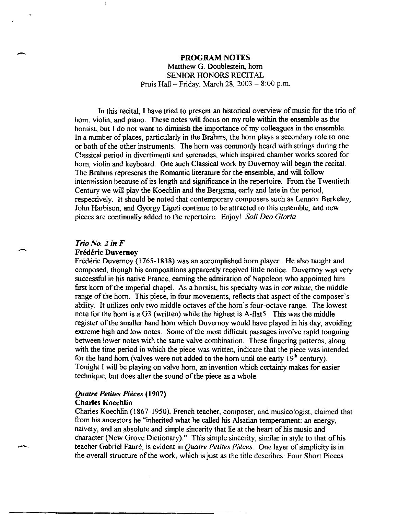# PROGRAM NOTES Matthew G. Doublestein, hom SENIOR HONORS RECITAL Pruis Hall - Friday, March 28,  $2003 - 8:00$  p.m.

In this recital, I have tried to present an historical overview of music for the trio of hom, violin, and piano. These notes will focus on my role within the ensemble as the hornist, but I do not want to diminish the importance of my colleagues in the ensemble. In a number of places, particularly in the Brahms, the hom plays a secondary role to one or both of the other instruments. The hom was commonly heard with strings during the Classical period in divertimenti and serenades, which inspired chamber works scored for hom, violin and keyboard. One such Classical work by Duvernoy will begin the recital. The Brahms represents the Romantic literature for the ensemble, and will follow intermission because of its length and significance in the repertoire. From the Twentieth Century we will play the Koechlin and the Bergsma, early and late in the period, respectively. It should be noted that contemporary composers such as Lennox Berkeley, John Harbison, and Gyorgy Ligeti continue to be attracted to this ensemble, and new pieces are continually added to the repertoire. Enjoy! *Soli Deo Gloria* 

### *Trio No,* 2 *in F*

-

-

#### Frederic Duvernoy

Frédéric Duvernoy (1765-1838) was an accomplished horn player. He also taught and composed, though his compositions apparently received little notice. Duvernoy was very successful in his native France, earning the admiration of Napoleon who appointed him first horn of the imperial chapel. As a hornist, his specialty was in *cor mixte*, the middle range of the hom. This piece, in four movements, reflects that aspect of the composer's ability. It utilizes only two middle octaves of the horn's four-octave range. The lowest note for the horn is a G3 (written) while the highest is A-flat<sup>5</sup>. This was the middle register of the smaller hand hom which Duvernoy would have played in his day, avoiding extreme high and low notes. Some of the most difficult passages involve rapid tonguing between lower notes with the same valve combination. These fingering patterns, along with the time period in which the piece was written, indicate that the piece was intended for the hand horn (valves were not added to the horn until the early  $19<sup>th</sup>$  century). Tonight I will be playing on valve hom, an invention which certainly makes for easier technique, but does alter the sound of the piece as a whole.

## *Quatre Petites Pieces (1907)*  Charles Koechlin

Charles Koechlin (1867-1950), French teacher, composer, and musicologist, claimed that from his ancestors he "inherited what he called his Alsatian temperament: an energy, naivety, and an absolute and simple sincerity that lie at the heart of his music and character (New Grove Dictionary)." This simple sincerity, similar in style to that of his teacher Gabriel Faure, is evident in *Quatre Petites Pieces.* One layer of simplicity is in the overall structure of the work, which is just as the title describes: Four Short Pieces.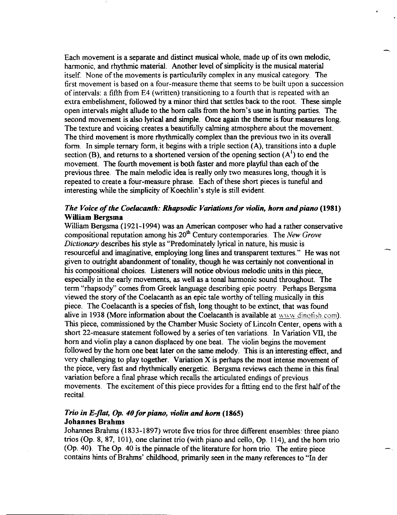Each movement is a separate and distinct musical whole, made up of its own melodic, harmonic, and rhythmic material. Another level of simplicity is the musical material itself. None of the movements is particularily complex in any musical category. The first movement is based on a four-measure theme that seems to be built upon a succession of intervals: a fifth from E4 (written) transitioning to a fourth that is repeated with an extra embelishment, followed by a minor third that settles back to the root. These simple open intervals might allude to the hom caUs from the hom's use in hunting parties. The second movement is also lyrical and simple. Once again the theme is four measures long. The texture and voicing creates a beautifully calming atmosphere about the movement. The third movement is more rhythmically complex than the previous two in its overall form. In simple ternary form, it begins with a triple section (A), transitions into a duple section (B), and returns to a shortened version of the opening section  $(A<sup>1</sup>)$  to end the movement. The fourth movement is both faster and more playful than each of the previous three. The main melodic idea is really only two measures long, though it is repeated to create a four-measure phrase. Each of these short pieces is tuneful and interesting while the simplicity of Koechlin's style is still evident.

## *The Voice of the Coelacanth: Rhapsodic Variations for violin, horn and piano (1981)*  William Bergsma

William Bergsma (1921-1994) was an American composer who had a rather conservative compositional reputation among his 20<sup>th</sup> Century contemporaries. The *New Grove Dictionary* describes his style as "Predominately lyrical in nature, his music is resourceful and imaginative, employing long lines and transparent textures." He was not given to outright abandonment of tonality, though he was certainly not conventional in his compositional choices. Listeners will notice obvious melodic units in this piece, especially in the early movements, as well as a tonal harmonic sound throughout. The term "rhapsody" comes from Greek language describing epic poetry. Perhaps Bergsma viewed the story of the Coelacanth as an epic tale worthy of telling musically in this piece. The Coelacanth is a species of fish, long thought to be extinct, that was found alive in 1938 (More information about the Coelacanth is available at www dinotish.com). This piece, commissioned by the Chamber Music Society of Lincoln Center, opens with a short 22-measure statement followed by a series of ten variations. In Variation VII, the hom and violin playa canon displaced by one beat. The violin begins the movement followed by the hom one beat later on the same melody. This is an interesting effect, and very challenging to play together. Variation X is perhaps the most intense movement of the piece, very fast and rhythmically energetic. Bergsma reviews each theme in this final variation before a final phrase which recalls the articulated endings of previous movements. The excitement of this piece provides for a fitting end to the first half of the recital.

## *Trio in E-flat,* Op. *40 for piano, violin and horn (1865)*  Johannes Brahms

Johannes Brahms (1833-1897) wrote five trios for three different ensembles: three piano trios (Op. 8, 87, 101), one clarinet trio (with piano and cello, Op. 114), and the hom trio (Op.40). The Op. 40 is the pinnacle of the literature for hom trio. The entire piece contains hints of Brahms' childhood, primarily seen in the many references to "In der